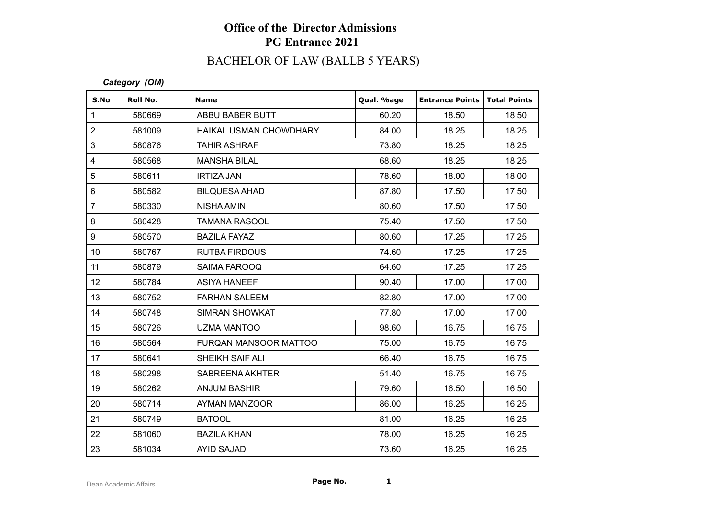# BACHELOR OF LAW (BALLB 5 YEARS)

#### *Category (OM)*

| S.No            | Roll No. | <b>Name</b>            | Qual. %age | <b>Entrance Points</b> | Total Points |
|-----------------|----------|------------------------|------------|------------------------|--------------|
| $\mathbf{1}$    | 580669   | ABBU BABER BUTT        | 60.20      | 18.50                  | 18.50        |
| $\overline{c}$  | 581009   | HAIKAL USMAN CHOWDHARY | 84.00      | 18.25                  | 18.25        |
| 3               | 580876   | <b>TAHIR ASHRAF</b>    | 73.80      | 18.25                  | 18.25        |
| 4               | 580568   | <b>MANSHA BILAL</b>    | 68.60      | 18.25                  | 18.25        |
| 5               | 580611   | <b>IRTIZA JAN</b>      | 78.60      | 18.00                  | 18.00        |
| 6               | 580582   | <b>BILQUESA AHAD</b>   | 87.80      | 17.50                  | 17.50        |
| $\overline{7}$  | 580330   | <b>NISHA AMIN</b>      | 80.60      | 17.50                  | 17.50        |
| 8               | 580428   | <b>TAMANA RASOOL</b>   | 75.40      | 17.50                  | 17.50        |
| 9               | 580570   | <b>BAZILA FAYAZ</b>    | 80.60      | 17.25                  | 17.25        |
| 10 <sup>°</sup> | 580767   | <b>RUTBA FIRDOUS</b>   | 74.60      | 17.25                  | 17.25        |
| 11              | 580879   | SAIMA FAROOQ           | 64.60      | 17.25                  | 17.25        |
| 12              | 580784   | <b>ASIYA HANEEF</b>    | 90.40      | 17.00                  | 17.00        |
| 13              | 580752   | <b>FARHAN SALEEM</b>   | 82.80      | 17.00                  | 17.00        |
| 14              | 580748   | <b>SIMRAN SHOWKAT</b>  | 77.80      | 17.00                  | 17.00        |
| 15              | 580726   | <b>UZMA MANTOO</b>     | 98.60      | 16.75                  | 16.75        |
| 16              | 580564   | FURQAN MANSOOR MATTOO  | 75.00      | 16.75                  | 16.75        |
| 17              | 580641   | SHEIKH SAIF ALI        | 66.40      | 16.75                  | 16.75        |
| 18              | 580298   | SABREENA AKHTER        | 51.40      | 16.75                  | 16.75        |
| 19              | 580262   | <b>ANJUM BASHIR</b>    | 79.60      | 16.50                  | 16.50        |
| 20              | 580714   | AYMAN MANZOOR          | 86.00      | 16.25                  | 16.25        |
| 21              | 580749   | <b>BATOOL</b>          | 81.00      | 16.25                  | 16.25        |
| 22              | 581060   | <b>BAZILA KHAN</b>     | 78.00      | 16.25                  | 16.25        |
| 23              | 581034   | <b>AYID SAJAD</b>      | 73.60      | 16.25                  | 16.25        |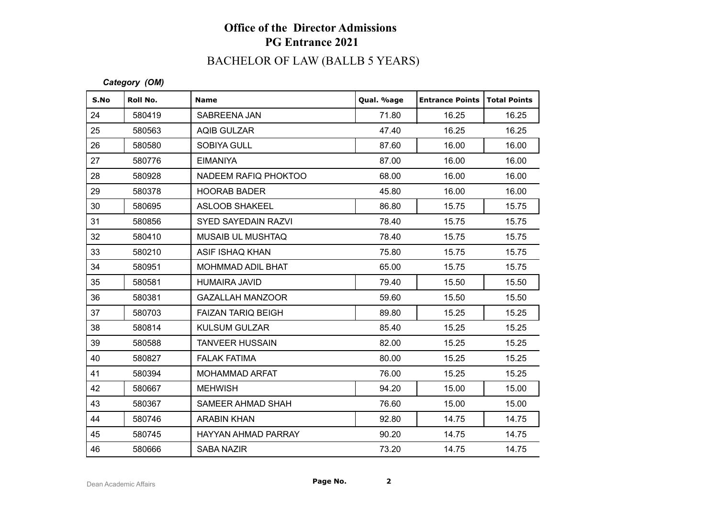# BACHELOR OF LAW (BALLB 5 YEARS)

*Category (OM)*

| S.No | Roll No. | <b>Name</b>                | Qual. %age | <b>Entrance Points   Total Points</b> |       |
|------|----------|----------------------------|------------|---------------------------------------|-------|
| 24   | 580419   | SABREENA JAN               | 71.80      | 16.25                                 | 16.25 |
| 25   | 580563   | <b>AQIB GULZAR</b>         | 47.40      | 16.25                                 | 16.25 |
| 26   | 580580   | <b>SOBIYA GULL</b>         | 87.60      | 16.00                                 | 16.00 |
| 27   | 580776   | <b>EIMANIYA</b>            | 87.00      | 16.00                                 | 16.00 |
| 28   | 580928   | NADEEM RAFIQ PHOKTOO       | 68.00      | 16.00                                 | 16.00 |
| 29   | 580378   | <b>HOORAB BADER</b>        | 45.80      | 16.00                                 | 16.00 |
| 30   | 580695   | <b>ASLOOB SHAKEEL</b>      | 86.80      | 15.75                                 | 15.75 |
| 31   | 580856   | <b>SYED SAYEDAIN RAZVI</b> | 78.40      | 15.75                                 | 15.75 |
| 32   | 580410   | <b>MUSAIB UL MUSHTAQ</b>   | 78.40      | 15.75                                 | 15.75 |
| 33   | 580210   | ASIF ISHAQ KHAN            | 75.80      | 15.75                                 | 15.75 |
| 34   | 580951   | <b>MOHMMAD ADIL BHAT</b>   | 65.00      | 15.75                                 | 15.75 |
| 35   | 580581   | HUMAIRA JAVID              | 79.40      | 15.50                                 | 15.50 |
| 36   | 580381   | <b>GAZALLAH MANZOOR</b>    | 59.60      | 15.50                                 | 15.50 |
| 37   | 580703   | <b>FAIZAN TARIQ BEIGH</b>  | 89.80      | 15.25                                 | 15.25 |
| 38   | 580814   | <b>KULSUM GULZAR</b>       | 85.40      | 15.25                                 | 15.25 |
| 39   | 580588   | <b>TANVEER HUSSAIN</b>     | 82.00      | 15.25                                 | 15.25 |
| 40   | 580827   | <b>FALAK FATIMA</b>        | 80.00      | 15.25                                 | 15.25 |
| 41   | 580394   | <b>MOHAMMAD ARFAT</b>      | 76.00      | 15.25                                 | 15.25 |
| 42   | 580667   | <b>MEHWISH</b>             | 94.20      | 15.00                                 | 15.00 |
| 43   | 580367   | SAMEER AHMAD SHAH          | 76.60      | 15.00                                 | 15.00 |
| 44   | 580746   | <b>ARABIN KHAN</b>         | 92.80      | 14.75                                 | 14.75 |
| 45   | 580745   | HAYYAN AHMAD PARRAY        | 90.20      | 14.75                                 | 14.75 |
| 46   | 580666   | <b>SABA NAZIR</b>          | 73.20      | 14.75                                 | 14.75 |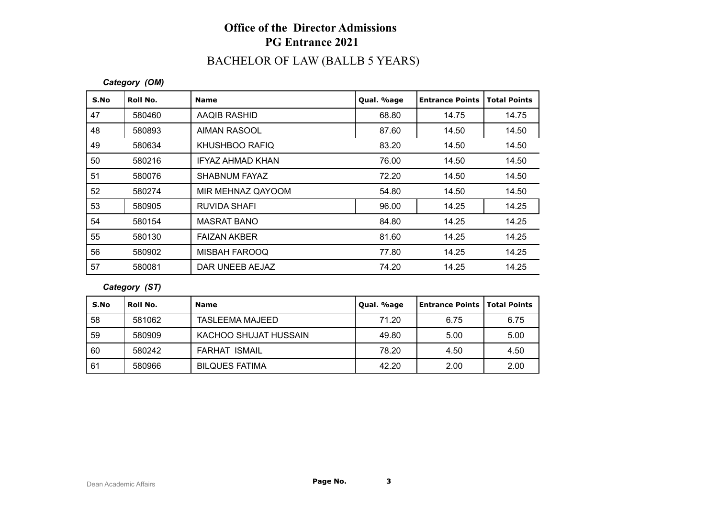# BACHELOR OF LAW (BALLB 5 YEARS)

#### *Category (OM)*

| S.No | Roll No. | <b>Name</b>             | Qual. %age | <b>Entrance Points</b> | <b>Total Points</b> |
|------|----------|-------------------------|------------|------------------------|---------------------|
| 47   | 580460   | AAQIB RASHID            | 68.80      | 14.75                  | 14.75               |
| 48   | 580893   | <b>AIMAN RASOOL</b>     | 87.60      | 14.50                  | 14.50               |
| 49   | 580634   | KHUSHBOO RAFIQ          | 83.20      | 14.50                  | 14.50               |
| 50   | 580216   | <b>IFYAZ AHMAD KHAN</b> | 76.00      | 14.50                  | 14.50               |
| 51   | 580076   | SHABNUM FAYAZ           | 72.20      | 14.50                  | 14.50               |
| 52   | 580274   | MIR MEHNAZ QAYOOM       | 54.80      | 14.50                  | 14.50               |
| 53   | 580905   | <b>RUVIDA SHAFI</b>     | 96.00      | 14.25                  | 14.25               |
| 54   | 580154   | <b>MASRAT BANO</b>      | 84.80      | 14.25                  | 14.25               |
| 55   | 580130   | <b>FAIZAN AKBER</b>     | 81.60      | 14.25                  | 14.25               |
| 56   | 580902   | <b>MISBAH FAROOQ</b>    | 77.80      | 14.25                  | 14.25               |
| 57   | 580081   | DAR UNEEB AEJAZ         | 74.20      | 14.25                  | 14.25               |

#### *Category (ST)*

| S.No | Roll No. | <b>Name</b>           | Qual. %age | <b>Entrance Points   Total Points</b> |      |
|------|----------|-----------------------|------------|---------------------------------------|------|
| 58   | 581062   | TASLEEMA MAJEED       | 71.20      | 6.75                                  | 6.75 |
| 59   | 580909   | KACHOO SHUJAT HUSSAIN | 49.80      | 5.00                                  | 5.00 |
| 60   | 580242   | <b>FARHAT ISMAIL</b>  | 78.20      | 4.50                                  | 4.50 |
| 61   | 580966   | <b>BILQUES FATIMA</b> | 42.20      | 2.00                                  | 2.00 |